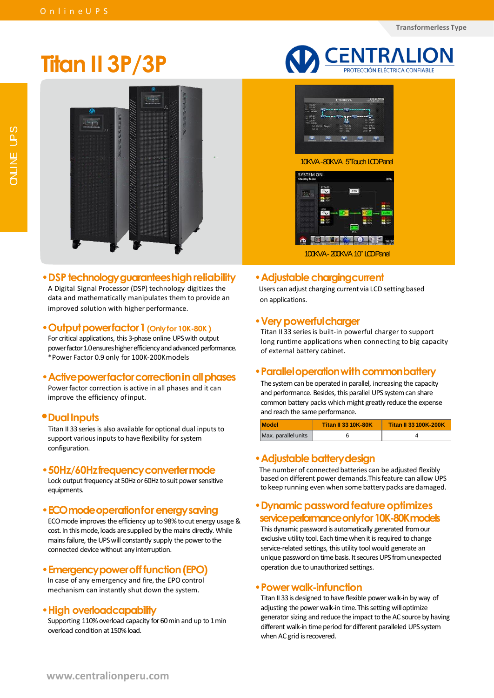# **Titan II 3P/3P**



## •**DSP technologyguaranteeshighreliability**

A Digital Signal Processor (DSP) technology digitizes the data and mathematically manipulates them to provide an improved solution with higher performance.

#### •**Outputpowerfactor1(Onlyfor 10K-80K )**

For critical applications, this 3-phase online UPS with output power factor 1.0 ensures higher efficiency and advanced performance. \* Power Factor 0.9 only for 100K-200Kmodels

## •**Activepowerfactorcorrectioninallphases**

Power factor correction is active in all phases and it can improve the efficiency of input.

## **•DualInputs**

Titan II 33 series is also available for optional dual inputs to support various inputs to have flexibility for system configuration.

#### •**50Hz/60Hzfrequencyconvertermode**

Lock output frequency at 50Hz or 60Hz to suit power sensitive equipments.

## •**ECOmodeoperationforenergysaving**

ECO mode improves the efficiency up to 98% to cut energy usage & cost. In this mode, loads are supplied by the mains directly. While mains failure, the UPS will constantly supply the power to the connected device without any interruption.

## •**Emergencypoweroff function(EPO)**

In case of any emergency and fire, the EPO control mechanism can instantly shut down the system.

## •**High overloadcapability**

Supporting 110% overload capacity for 60 min and up to 1 min overload condition at 150% load.





#### •**Adjustable chargingcurrent**

Users can adjust charging current via LCD setting based on applications.

#### •**Very powerfulcharger**

Titan II 33 series is built-in powerful charger to support long runtime applications when connecting to big capacity of external battery cabinet.

#### • **Parallel operation with common battery**

The system can be operated in parallel, increasing the capacity and performance. Besides, this parallel UPS system can share common battery packs which might greatly reduce the expense and reach the same performance.

| <b>Model</b>        | <b>Titan II 33 10K-80K</b> | <b>Titan II 33 100K-200K</b> |  |  |  |
|---------------------|----------------------------|------------------------------|--|--|--|
| Max. parallel units |                            |                              |  |  |  |

#### •**Adjustable batterydesign**

The number of connected batteries can be adjusted flexibly based on different power demands.Thisfeature can allow UPS to keep running even when some battery packs are damaged.

## •**Dynamic password featureoptimizes serviceperformanceonlyfor10K-80Kmodels**

This dynamic password is automatically generated from our exclusive utility tool. Each time when it is required to change service-related settings, this utility tool would generate an unique password on time basis. It secures UPS from unexpected operation due to unauthorized settings.

#### •**Power walk-infunction**

Titan II 33 is designed to have flexible power walk-in by way of adjusting the power walk-in time. This setting will optimize generator sizing and reduce the impact to the AC source by having different walk-in time period for different paralleled UPS system when AC grid is recovered.